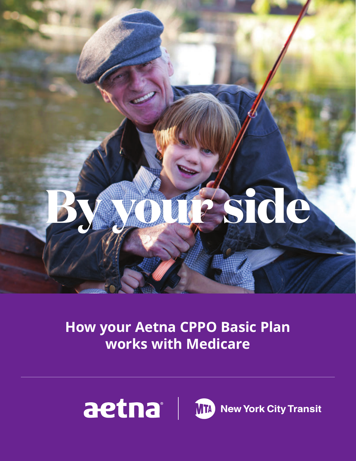

# **How your Aetna CPPO Basic Plan works with Medicare**

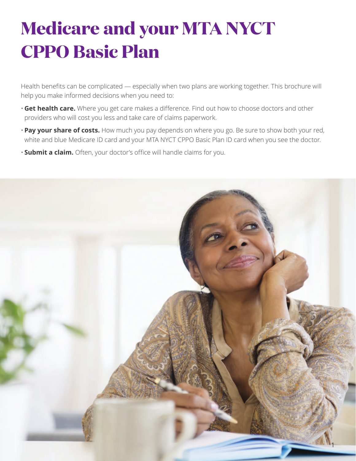# **Medicare and your MTA NYCT CPPO Basic Plan**

Health benefits can be complicated — especially when two plans are working together. This brochure will help you make informed decisions when you need to:

- **Get health care.** Where you get care makes a difference. Find out how to choose doctors and other providers who will cost you less and take care of claims paperwork.
- **Pay your share of costs.** How much you pay depends on where you go. Be sure to show both your red, white and blue Medicare ID card and your MTA NYCT CPPO Basic Plan ID card when you see the doctor.
- **Submit a claim.** Often, your doctor's office will handle claims for you.

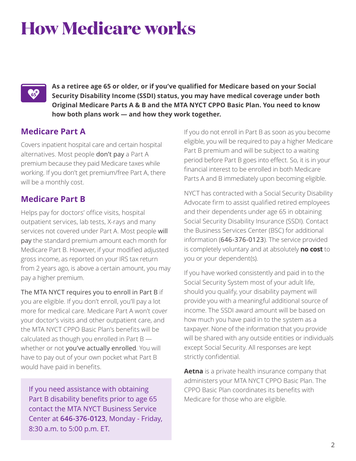# **How Medicare works**

# **CS**

**As a retiree age 65 or older, or if you've qualified for Medicare based on your Social Security Disability Income (SSDI) status, you may have medical coverage under both Original Medicare Parts A & B and the MTA NYCT CPPO Basic Plan. You need to know how both plans work — and how they work together.** 

## **Medicare Part A**

Covers inpatient hospital care and certain hospital alternatives. Most people don't pay a Part A premium because they paid Medicare taxes while working. If you don't get premium/free Part A, there will be a monthly cost.

## **Medicare Part B**

Helps pay for doctors' office visits, hospital outpatient services, lab tests, X-rays and many services not covered under Part A. Most people will pay the standard premium amount each month for Medicare Part B. However, if your modified adjusted gross income, as reported on your IRS tax return from 2 years ago, is above a certain amount, you may pay a higher premium.

The MTA NYCT requires you to enroll in Part B if you are eligible. If you don't enroll, you'll pay a lot more for medical care. Medicare Part A won't cover your doctor's visits and other outpatient care, and the MTA NYCT CPPO Basic Plan's benefits will be calculated as though you enrolled in Part B whether or not you've actually enrolled. You will have to pay out of your own pocket what Part B would have paid in benefits.

If you need assistance with obtaining Part B disability benefits prior to age 65 contact the MTA NYCT Business Service Center at **646-376-0123**, Monday - Friday, 8:30 a.m. to 5:00 p.m. ET.

If you do not enroll in Part B as soon as you become eligible, you will be required to pay a higher Medicare Part B premium and will be subject to a waiting period before Part B goes into effect. So, it is in your financial interest to be enrolled in both Medicare Parts A and B immediately upon becoming eligible.

 is completely voluntary and at absolutely **no cost** to NYCT has contracted with a Social Security Disability Advocate firm to assist qualified retired employees and their dependents under age 65 in obtaining Social Security Disability Insurance (SSDI). Contact the Business Services Center (BSC) for additional information (646-376-0123). The service provided you or your dependent(s).

If you have worked consistently and paid in to the Social Security System most of your adult life, should you qualify, your disability payment will provide you with a meaningful additional source of income. The SSDI award amount will be based on how much you have paid in to the system as a taxpayer. None of the information that you provide will be shared with any outside entities or individuals except Social Security. All responses are kept strictly confidential.

**Aetna** is a private health insurance company that administers your MTA NYCT CPPO Basic Plan. The CPPO Basic Plan coordinates its benefits with Medicare for those who are eligible.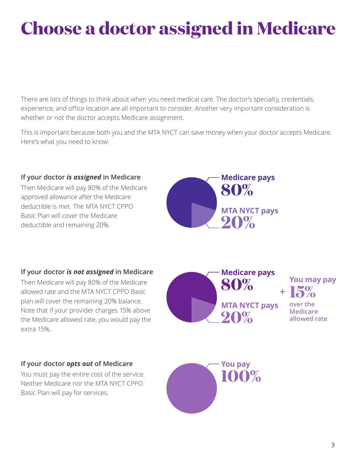# **Choose a doctor assigned in Medicare**

There are lots of things to think about when you need medical care. The doctor's specialty, credentials, experience, and office location are all important to consider. Another very important consideration is whether or not the doctor accepts Medicare assignment.

This is important because both you and the MTA NYCT can save money when your doctor accepts Medicare. Here's what you need to know:

#### **If your doctor** *is assigned* **in Medicare**  Then Medicare will pay 80% of the Medicare approved allowance after the Medicare deductible is met. The MTA NYCT CPPO Basic Plan will cover the Medicare deductible and remaining 20%. **Medicare pays 80% MTA NYCT pays 20%**

### **If your doctor** *is not assigned* **in Medicare**

Then Medicare will pay 80% of the Medicare allowed rate and the MTA NYCT CPPO Basic plan will cover the remaining 20% balance. Note that if your provider charges 15% above the Medicare allowed rate, you would pay the extra 15%.

### **If your doctor** *opts out* **of Medicare**

You must pay the entire cost of the service. Neither Medicare nor the MTA NYCT CPPO Basic Plan will pay for services.



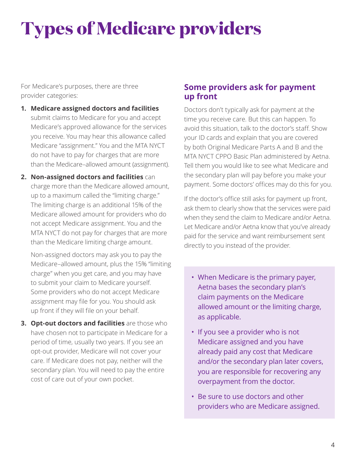# **Types of Medicare providers**

For Medicare's purposes, there are three provider categories:

- **1. Medicare assigned doctors and facilities**  submit claims to Medicare for you and accept Medicare's approved allowance for the services you receive. You may hear this allowance called Medicare "assignment." You and the MTA NYCT do not have to pay for charges that are more than the Medicare–allowed amount (assignment).
- **2. Non-assigned doctors and facilities** can charge more than the Medicare allowed amount, up to a maximum called the "limiting charge." The limiting charge is an additional 15% of the Medicare allowed amount for providers who do not accept Medicare assignment. You and the MTA NYCT do not pay for charges that are more than the Medicare limiting charge amount.

Non-assigned doctors may ask you to pay the Medicare–allowed amount, plus the 15% "limiting charge" when you get care, and you may have to submit your claim to Medicare yourself. Some providers who do not accept Medicare assignment may file for you. You should ask up front if they will file on your behalf.

**3. Opt-out doctors and facilities** are those who have chosen not to participate in Medicare for a period of time, usually two years. If you see an opt-out provider, Medicare will not cover your care. If Medicare does not pay, neither will the secondary plan. You will need to pay the entire cost of care out of your own pocket.

### **Some providers ask for payment up front**

Doctors don't typically ask for payment at the time you receive care. But this can happen. To avoid this situation, talk to the doctor's staff. Show your ID cards and explain that you are covered by both Original Medicare Parts A and B and the MTA NYCT CPPO Basic Plan administered by Aetna. Tell them you would like to see what Medicare and the secondary plan will pay before you make your payment. Some doctors' offices may do this for you.

If the doctor's office still asks for payment up front, ask them to clearly show that the services were paid when they send the claim to Medicare and/or Aetna. Let Medicare and/or Aetna know that you've already paid for the service and want reimbursement sent directly to you instead of the provider.

- When Medicare is the primary payer, Aetna bases the secondary plan's claim payments on the Medicare allowed amount or the limiting charge, as applicable.
- If you see a provider who is not Medicare assigned and you have already paid any cost that Medicare and/or the secondary plan later covers, you are responsible for recovering any overpayment from the doctor.
- Be sure to use doctors and other providers who are Medicare assigned.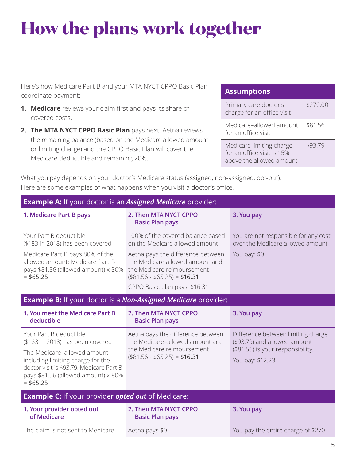# **How the plans work together**

Here's how Medicare Part B and your MTA NYCT CPPO Basic Plan coordinate payment:

- **1. Medicare** reviews your claim first and pays its share of covered costs.
- **2. The MTA NYCT CPPO Basic Plan** pays next. Aetna reviews the remaining balance (based on the Medicare allowed amount or limiting charge) and the CPPO Basic Plan will cover the Medicare deductible and remaining 20%.

#### **Assumptions**

| Primary care doctor's<br>charge for an office visit                                | \$270.00 |
|------------------------------------------------------------------------------------|----------|
| Medicare-allowed amount<br>for an office visit                                     | \$81.56  |
| Medicare limiting charge<br>for an office visit is 15%<br>above the allowed amount | \$93.79  |

What you pay depends on your doctor's Medicare status (assigned, non-assigned, opt-out). Here are some examples of what happens when you visit a doctor's office.

| <b>Example A:</b> If your doctor is an Assigned Medicare provider:                                                                                                                                                              |                                                                                                                                                                                                                                            |                                                                                                                             |  |  |
|---------------------------------------------------------------------------------------------------------------------------------------------------------------------------------------------------------------------------------|--------------------------------------------------------------------------------------------------------------------------------------------------------------------------------------------------------------------------------------------|-----------------------------------------------------------------------------------------------------------------------------|--|--|
| 1. Medicare Part B pays                                                                                                                                                                                                         | 2. Then MTA NYCT CPPO<br><b>Basic Plan pays</b>                                                                                                                                                                                            | 3. You pay                                                                                                                  |  |  |
| Your Part B deductible<br>(\$183 in 2018) has been covered<br>Medicare Part B pays 80% of the<br>allowed amount: Medicare Part B<br>pays \$81.56 (allowed amount) x 80%<br>$= $65.25$                                           | 100% of the covered balance based<br>on the Medicare allowed amount<br>Aetna pays the difference between<br>the Medicare allowed amount and<br>the Medicare reimbursement<br>$($81.56 - $65.25) = $16.31$<br>CPPO Basic plan pays: \$16.31 | You are not responsible for any cost<br>over the Medicare allowed amount<br>You pay: \$0                                    |  |  |
| <b>Example B:</b> If your doctor is a Non-Assigned Medicare provider:                                                                                                                                                           |                                                                                                                                                                                                                                            |                                                                                                                             |  |  |
| 1. You meet the Medicare Part B<br>deductible                                                                                                                                                                                   | 2. Then MTA NYCT CPPO<br><b>Basic Plan pays</b>                                                                                                                                                                                            | 3. You pay                                                                                                                  |  |  |
| Your Part B deductible<br>(\$183 in 2018) has been covered<br>The Medicare-allowed amount<br>including limiting charge for the<br>doctor visit is \$93.79. Medicare Part B<br>pays \$81.56 (allowed amount) x 80%<br>$= $65.25$ | Aetna pays the difference between<br>the Medicare-allowed amount and<br>the Medicare reimbursement<br>$($81.56 - $65.25) = $16.31$                                                                                                         | Difference between limiting charge<br>(\$93.79) and allowed amount<br>(\$81.56) is your responsibility.<br>You pay: \$12.23 |  |  |
| <b>Example C:</b> If your provider <i>opted out</i> of Medicare:                                                                                                                                                                |                                                                                                                                                                                                                                            |                                                                                                                             |  |  |
| 1. Your provider opted out<br>of Medicare                                                                                                                                                                                       | 2. Then MTA NYCT CPPO<br><b>Basic Plan pays</b>                                                                                                                                                                                            | 3. You pay                                                                                                                  |  |  |
| The claim is not sent to Medicare                                                                                                                                                                                               | Aetna pays \$0                                                                                                                                                                                                                             | You pay the entire charge of \$270                                                                                          |  |  |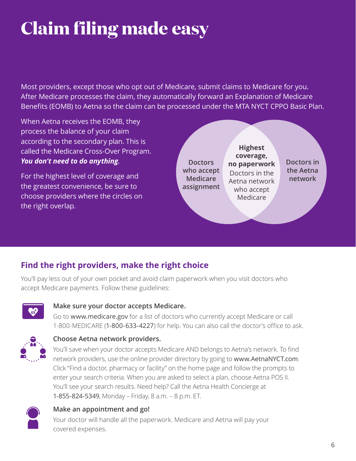# **Claim filing made easy**

Most providers, except those who opt out of Medicare, submit claims to Medicare for you. After Medicare processes the claim, they automatically forward an Explanation of Medicare Benefits (EOMB) to Aetna so the claim can be processed under the MTA NYCT CPPO Basic Plan.

When Aetna receives the EOMB, they process the balance of your claim according to the secondary plan. This is called the Medicare Cross-Over Program. *You don't need to do anything*.

For the highest level of coverage and the greatest convenience, be sure to choose providers where the circles on the right overlap.



# **Find the right providers, make the right choice**

You'll pay less out of your own pocket and avoid claim paperwork when you visit doctors who accept Medicare payments. Follow these guidelines:



### **Make sure your doctor accepts Medicare.**

Go to www.medicare.gov for a list of doctors who currently accept Medicare or call 1-800-MEDICARE (1-800-633-4227) for help. You can also call the doctor's office to ask.



### **Choose Aetna network providers.**

You'll save when your doctor accepts Medicare AND belongs to Aetna's network. To find network providers, use the online provider directory by going to www.AetnaNYCT.com. Click "Find a doctor, pharmacy or facility" on the home page and follow the prompts to enter your search criteria. When you are asked to select a plan, choose Aetna POS II. You'll see your search results. Need help? Call the Aetna Health Concierge at 1-855-824-5349, Monday – Friday, 8 a.m. – 8 p.m. ET.



### **Make an appointment and go!**

Your doctor will handle all the paperwork. Medicare and Aetna will pay your covered expenses.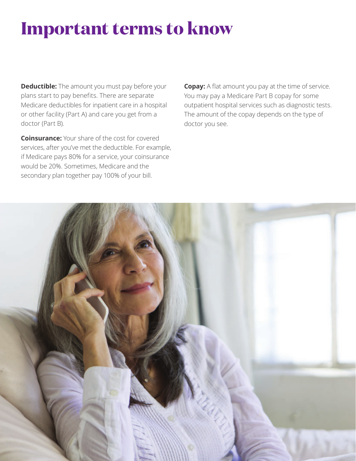# **Important terms to know**

**Deductible:** The amount you must pay before your plans start to pay benefits. There are separate Medicare deductibles for inpatient care in a hospital or other facility (Part A) and care you get from a doctor (Part B).

**Coinsurance:** Your share of the cost for covered services, after you've met the deductible. For example, if Medicare pays 80% for a service, your coinsurance would be 20%. Sometimes, Medicare and the secondary plan together pay 100% of your bill.

**Copay:** A flat amount you pay at the time of service. You may pay a Medicare Part B copay for some outpatient hospital services such as diagnostic tests. The amount of the copay depends on the type of doctor you see.

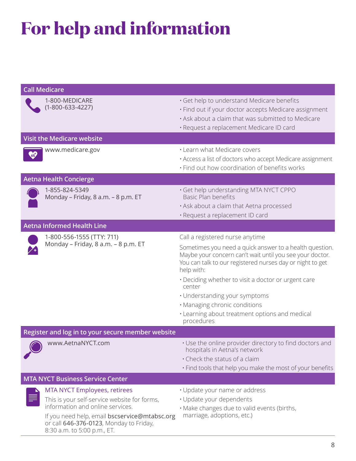# **For help and information**

| <b>Call Medicare</b>                                             |                                                                                                                         |                                                                                                                                                                                                       |  |
|------------------------------------------------------------------|-------------------------------------------------------------------------------------------------------------------------|-------------------------------------------------------------------------------------------------------------------------------------------------------------------------------------------------------|--|
|                                                                  | 1-800-MEDICARE<br>$(1-800-633-4227)$                                                                                    | · Get help to understand Medicare benefits<br>· Find out if your doctor accepts Medicare assignment<br>. Ask about a claim that was submitted to Medicare<br>· Request a replacement Medicare ID card |  |
|                                                                  | <b>Visit the Medicare website</b>                                                                                       |                                                                                                                                                                                                       |  |
|                                                                  | www.medicare.gov                                                                                                        | • Learn what Medicare covers<br>• Access a list of doctors who accept Medicare assignment<br>· Find out how coordination of benefits works                                                            |  |
|                                                                  | <b>Aetna Health Concierge</b>                                                                                           |                                                                                                                                                                                                       |  |
|                                                                  | 1-855-824-5349<br>Monday - Friday, 8 a.m. - 8 p.m. ET                                                                   | · Get help understanding MTA NYCT CPPO<br>Basic Plan benefits<br>. Ask about a claim that Aetna processed<br>· Request a replacement ID card                                                          |  |
|                                                                  | <b>Aetna Informed Health Line</b>                                                                                       |                                                                                                                                                                                                       |  |
| 1-800-556-1555 (TTY: 711)<br>Monday - Friday, 8 a.m. - 8 p.m. ET |                                                                                                                         | Call a registered nurse anytime                                                                                                                                                                       |  |
|                                                                  |                                                                                                                         | Sometimes you need a quick answer to a health question.<br>Maybe your concern can't wait until you see your doctor.<br>You can talk to our registered nurses day or night to get<br>help with:        |  |
|                                                                  |                                                                                                                         | • Deciding whether to visit a doctor or urgent care<br>center                                                                                                                                         |  |
|                                                                  |                                                                                                                         | · Understanding your symptoms                                                                                                                                                                         |  |
|                                                                  |                                                                                                                         | · Managing chronic conditions                                                                                                                                                                         |  |
|                                                                  |                                                                                                                         | . Learning about treatment options and medical<br>procedures                                                                                                                                          |  |
| Register and log in to your secure member website                |                                                                                                                         |                                                                                                                                                                                                       |  |
| www.AetnaNYCT.com                                                | • Use the online provider directory to find doctors and<br>hospitals in Aetna's network                                 |                                                                                                                                                                                                       |  |
|                                                                  |                                                                                                                         | . Check the status of a claim                                                                                                                                                                         |  |
|                                                                  |                                                                                                                         | . Find tools that help you make the most of your benefits                                                                                                                                             |  |
|                                                                  | <b>MTA NYCT Business Service Center</b>                                                                                 |                                                                                                                                                                                                       |  |
|                                                                  | <b>MTA NYCT Employees, retirees</b>                                                                                     | · Update your name or address                                                                                                                                                                         |  |
|                                                                  | This is your self-service website for forms,<br>information and online services.                                        | · Update your dependents                                                                                                                                                                              |  |
|                                                                  | If you need help, email bscservice@mtabsc.org<br>or call 646-376-0123, Monday to Friday,<br>8:30 a.m. to 5:00 p.m., ET. | · Make changes due to valid events (births,<br>marriage, adoptions, etc.)                                                                                                                             |  |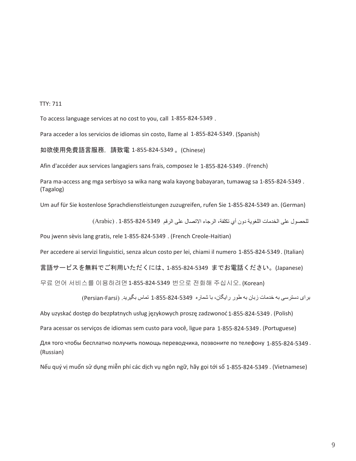#### TTY: 711

To access language services at no cost to you, call 1-855-824-5349 .

Para acceder a los servicios de idiomas sin costo, llame al 1-855-824-5349. (Spanish)

如欲使用免費語言服務,請致電 1-855-824-5349 。(Chinese)

Afin d'accéder aux services langagiers sans frais, composez le 1-855-824-5349 . (French)

Para ma-access ang mga serbisyo sa wika nang wala kayong babayaran, tumawag sa 1-855-824-5349 . (Tagalog)

Um auf für Sie kostenlose Sprachdienstleistungen zuzugreifen, rufen Sie 1-855-824-5349 an. (German)

للحصول على الخدمات اللغوية دون أي تكلفة، الرجاء االتصال على الرقم 1-855-824-5349 . (Arabic(

Pou jwenn sèvis lang gratis, rele 1-855-824-5349 . (French Creole-Haitian)

Per accedere ai servizi linguistici, senza alcun costo per lei, chiami il numero 1-855-824-5349. (Italian)

言語サービスを無料でご利用いただくには、1-855-824-5349 までお電話ください。(Japanese)

무료 언어 서비스를 이용하려면1-855-824-5349 번으로 전화해 주십시오. (Korean)

برای دسترسی به خدمات زبان به طور رايگان، با شماره 5349-824-855-824 تماس بگيريد. (Persian-Farsi)

Aby uzyskać dostęp do bezpłatnych usług językowych proszę zadzwonoć 1-855-824-5349 . (Polish)

Para acessar os serviços de idiomas sem custo para você, ligue para 1-855-824-5349. (Portuguese)

Для того чтобы бесплатно получить помощь переводчика, позвоните по телефону 1-855-824-5349 . (Russian)

Nếu quý vị muốn sử dụng miễn phí các dịch vụ ngôn ngữ, hãy gọi tới số 1-855-824-5349 . (Vietnamese)